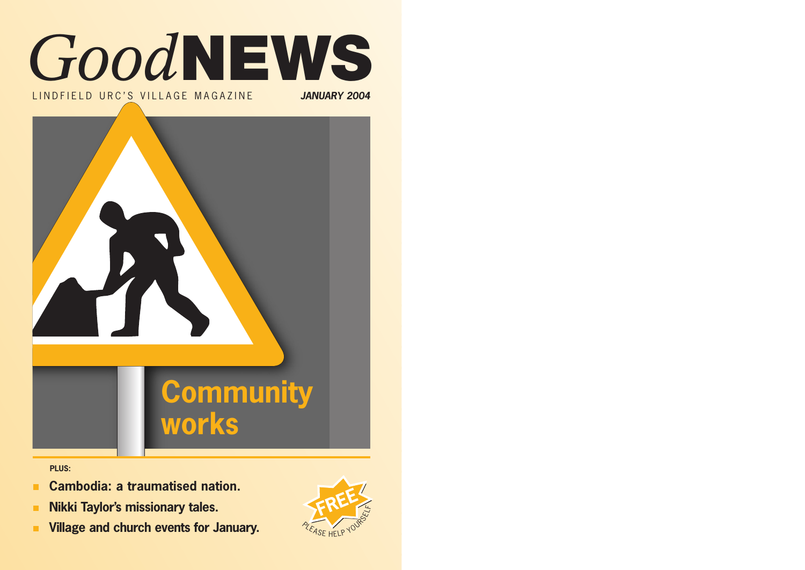

LINDFIELD URC'S VILLAGE MAGAZINE **JANUARY 2004**



**PLUS:**

- **Cambodia: a traumatised nation.** п.
- **Nikki Taylor's missionary tales.**  $\mathbf{m}$
- **Village and church events for January.**  $\blacksquare$

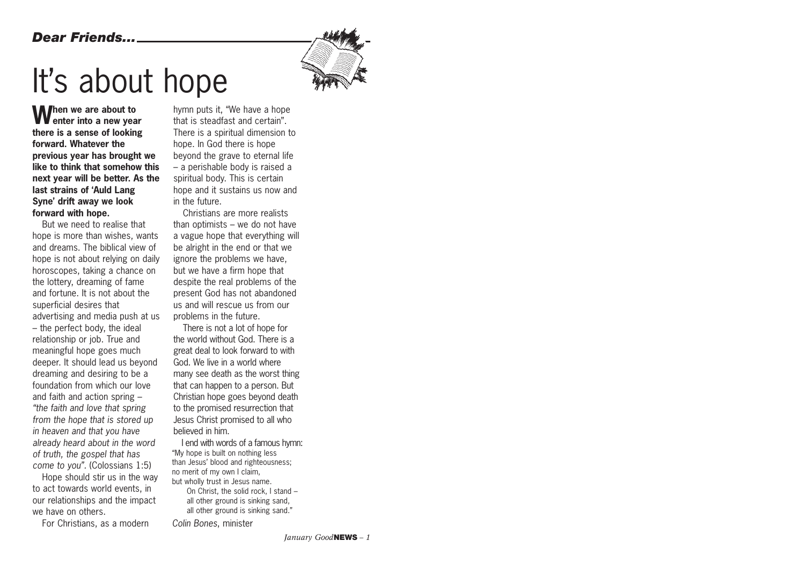#### *Dear Friends...*



# It's about hope

**When we are about to enter into a new year there is a sense of looking forward. Whatever the previous year has brought we like to think that somehow this next year will be better. As the last strains of 'Auld Lang Syne' drift away we look forward with hope.**

But we need to realise that hope is more than wishes, wants and dreams. The biblical view of hope is not about relying on daily horoscopes, taking a chance on the lottery, dreaming of fame and fortune. It is not about the superficial desires that advertising and media push at us – the perfect body, the ideal relationship or job. True and meaningful hope goes much deeper. It should lead us beyond dreaming and desiring to be a foundation from which our love and faith and action spring – *"the faith and love that spring from the hope that is stored up in heaven and that you have already heard about in the word of truth, the gospel that has come to you".* (Colossians 1:5)

Hope should stir us in the way to act towards world events, in our relationships and the impact we have on others.

For Christians, as a modern

hymn puts it, "We have a hope that is steadfast and certain". There is a spiritual dimension to hope. In God there is hope beyond the grave to eternal life – a perishable body is raised a spiritual body. This is certain hope and it sustains us now and in the future.

Christians are more realists than optimists – we do not have a vague hope that everything will be alright in the end or that we ignore the problems we have, but we have a firm hope that despite the real problems of the present God has not abandoned us and will rescue us from our problems in the future.

There is not a lot of hope for the world without God. There is a great deal to look forward to with God. We live in a world where many see death as the worst thing that can happen to a person. But Christian hope goes beyond death to the promised resurrection that Jesus Christ promised to all who believed in him.

I end with words of a famous hymn: "My hope is built on nothing less than Jesus' blood and righteousness; no merit of my own I claim, but wholly trust in Jesus name.

On Christ, the solid rock, I stand – all other ground is sinking sand, all other ground is sinking sand."

*Colin Bones*, minister

*January Good***NEWS** *– 1*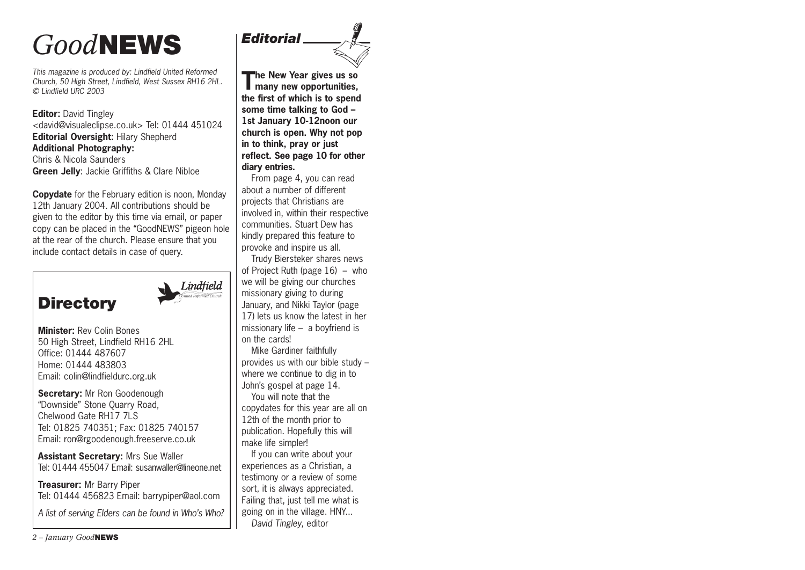## *Good***NEWS**

*This magazine is produced by: Lindfield United Reformed Church, 50 High Street, Lindfield, West Sussex RH16 2HL. © Lindfield URC 2003*

**Editor:** David Tingley <david@visualeclipse.co.uk> Tel: 01444 451024 **Editorial Oversight:** Hilary Shepherd **Additional Photography:** Chris & Nicola Saunders **Green Jelly**: Jackie Griffiths & Clare Nibloe

**Copydate** for the February edition is noon, Monday 12th January 2004. All contributions should be given to the editor by this time via email, or paper copy can be placed in the "GoodNEWS" pigeon hole at the rear of the church. Please ensure that you include contact details in case of query.



**Minister:** Rev Colin Bones 50 High Street, Lindfield RH16 2HL Office: 01444 487607 Home: 01444 483803 Email: colin@lindfieldurc.org.uk

**Secretary:** Mr Ron Goodenough "Downside" Stone Quarry Road, Chelwood Gate RH17 7LS Tel: 01825 740351; Fax: 01825 740157 Email: ron@rgoodenough.freeserve.co.uk

**Assistant Secretary:** Mrs Sue Waller Tel: 01444 455047 Email: susanwaller@lineone.net

**Treasurer:** Mr Barry Piper Tel: 01444 456823 Email: barrypiper@aol.com

*A list of serving Elders can be found in Who's Who?*



**The New Year gives us so many new opportunities, the first of which is to spend some time talking to God – 1st January 10-12noon our church is open. Why not pop in to think, pray or just reflect. See page 10 for other diary entries.** 

*Editorial*

From page 4, you can read about a number of different projects that Christians are involved in, within their respective communities. Stuart Dew has kindly prepared this feature to provoke and inspire us all.

Trudy Biersteker shares news of Project Ruth (page 16) – who we will be giving our churches missionary giving to during January, and Nikki Taylor (page 17) lets us know the latest in her missionary life – a boyfriend is on the cards!

Mike Gardiner faithfully provides us with our bible study – where we continue to dig in to John's gospel at page 14.

You will note that the copydates for this year are all on 12th of the month prior to publication. Hopefully this will make life simpler!

If you can write about your experiences as a Christian, a testimony or a review of some sort, it is always appreciated. Failing that, just tell me what is going on in the village. HNY... *David Tingley,* editor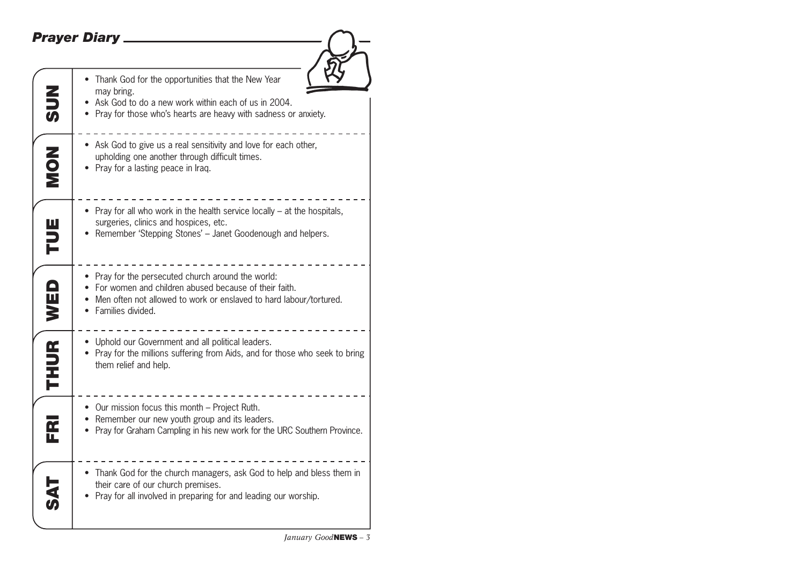### *Prayer Diary*

| <b>NUS</b>              | • Thank God for the opportunities that the New Year<br>may bring.<br>Ask God to do a new work within each of us in 2004.<br>• Pray for those who's hearts are heavy with sadness or anxiety.                 |
|-------------------------|--------------------------------------------------------------------------------------------------------------------------------------------------------------------------------------------------------------|
| <b>ZON</b>              | • Ask God to give us a real sensitivity and love for each other,<br>upholding one another through difficult times.<br>Pray for a lasting peace in Iraq.                                                      |
| TUE                     | • Pray for all who work in the health service locally – at the hospitals,<br>surgeries, clinics and hospices, etc.<br>Remember 'Stepping Stones' - Janet Goodenough and helpers.                             |
| WED                     | • Pray for the persecuted church around the world:<br>• For women and children abused because of their faith.<br>• Men often not allowed to work or enslaved to hard labour/tortured.<br>• Families divided. |
| <b>THUR</b>             | • Uphold our Government and all political leaders.<br>• Pray for the millions suffering from Aids, and for those who seek to bring<br>them relief and help.                                                  |
| $\overline{\mathbf{r}}$ | • Our mission focus this month - Project Ruth.<br>• Remember our new youth group and its leaders.<br>Pray for Graham Campling in his new work for the URC Southern Province.                                 |
|                         | • Thank God for the church managers, ask God to help and bless them in<br>their care of our church premises.<br>Pray for all involved in preparing for and leading our worship.                              |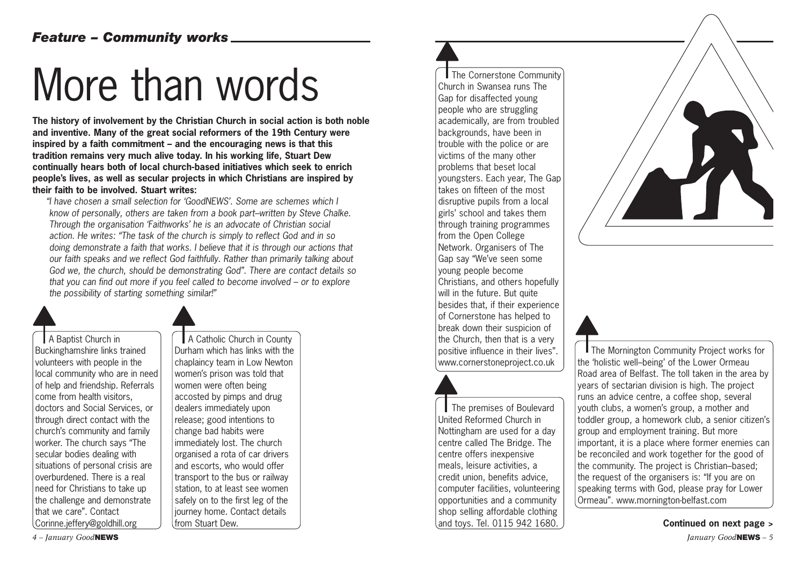# More than words

**The history of involvement by the Christian Church in social action is both noble and inventive. Many of the great social reformers of the 19th Century were inspired by a faith commitment – and the encouraging news is that this tradition remains very much alive today. In his working life, Stuart Dew continually hears both of local church-based initiatives which seek to enrich people's lives, as well as secular projects in which Christians are inspired by their faith to be involved. Stuart writes:**

*"I have chosen a small selection for 'GoodNEWS'. Some are schemes which I know of personally, others are taken from a book part–written by Steve Chalke. Through the organisation 'Faithworks' he is an advocate of Christian social action. He writes: "The task of the church is simply to reflect God and in so doing demonstrate a faith that works. I believe that it is through our actions that our faith speaks and we reflect God faithfully. Rather than primarily talking about God we, the church, should be demonstrating God". There are contact details so that you can find out more if you feel called to become involved – or to explore the possibility of starting something similar!"*

A Baptist Church in Buckinghamshire links trained volunteers with people in the local community who are in need of help and friendship. Referrals come from health visitors, doctors and Social Services, or through direct contact with the church's community and family worker. The church says "The secular bodies dealing with situations of personal crisis are overburdened. There is a real need for Christians to take up the challenge and demonstrate that we care". Contact Corinne.jeffery@goldhill.org

A Catholic Church in County Durham which has links with the chaplaincy team in Low Newton women's prison was told that women were often being accosted by pimps and drug dealers immediately upon release; good intentions to change bad habits were immediately lost. The church organised a rota of car drivers and escorts, who would offer transport to the bus or railway station, to at least see women safely on to the first leg of the journey home. Contact details from Stuart Dew.

The Cornerstone Community Church in Swansea runs The Gap for disaffected young people who are struggling academically, are from troubled backgrounds, have been in trouble with the police or are victims of the many other problems that beset local youngsters. Each year, The Gap takes on fifteen of the most disruptive pupils from a local girls' school and takes them through training programmes from the Open College Network. Organisers of The Gap say "We've seen some young people become Christians, and others hopefully will in the future. But quite besides that, if their experience of Cornerstone has helped to break down their suspicion of the Church, then that is a very positive influence in their lives". www.cornerstoneproject.co.uk

The premises of Boulevard United Reformed Church in Nottingham are used for a day centre called The Bridge. The centre offers inexpensive meals, leisure activities, a credit union, benefits advice, computer facilities, volunteering opportunities and a community shop selling affordable clothing and toys. Tel. 0115 942 1680. **Continued on next page >**





**The Mornington Community Project works for** the 'holistic well–being' of the Lower Ormeau Road area of Belfast. The toll taken in the area by years of sectarian division is high. The project runs an advice centre, a coffee shop, several youth clubs, a women's group, a mother and toddler group, a homework club, a senior citizen's group and employment training. But more important, it is a place where former enemies can be reconciled and work together for the good of the community. The project is Christian–based; the request of the organisers is: "If you are on speaking terms with God, please pray for Lower Ormeau". www.mornington-belfast.com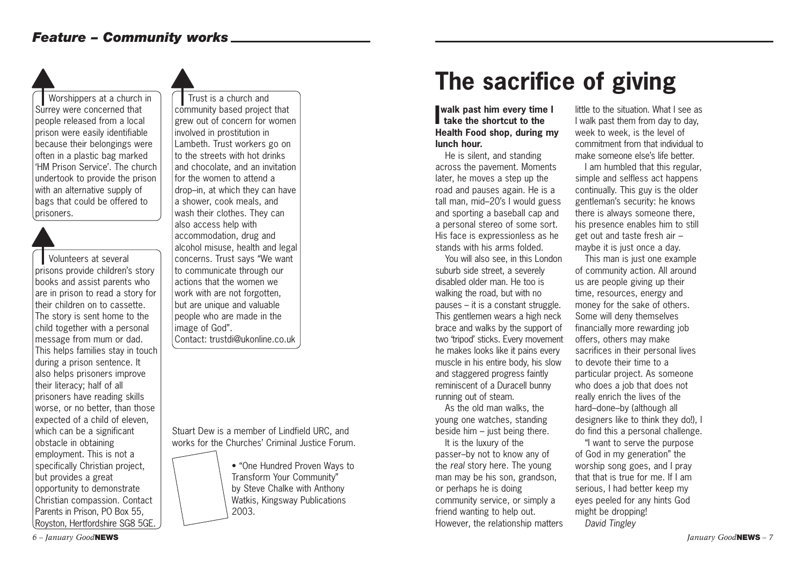Worshippers at a church in Surrey were concerned that people released from a local prison were easily identifiable because their belongings were often in a plastic bag marked 'HM Prison Service'. The church undertook to provide the prison with an alternative supply of bags that could be offered to prisoners.

Volunteers at several prisons provide children's story books and assist parents who are in prison to read a story for their children on to cassette. The story is sent home to the child together with a personal message from mum or dad. This helps families stay in touch during a prison sentence. It also helps prisoners improve their literacy; half of all prisoners have reading skills worse, or no better, than those expected of a child of eleven, which can be a significant obstacle in obtaining employment. This is not a specifically Christian project, but provides a great opportunity to demonstrate Christian compassion. Contact Parents in Prison, PO Box 55, Royston, Hertfordshire SG8 5GE.

Trust is a church and community based project that grew out of concern for women involved in prostitution in Lambeth. Trust workers go on to the streets with hot drinks and chocolate, and an invitation for the women to attend a drop–in, at which they can have a shower, cook meals, and wash their clothes. They can also access help with accommodation, drug and alcohol misuse, health and legal concerns. Trust says "We want to communicate through our actions that the women we work with are not forgotten, but are unique and valuable people who are made in the image of God".

Contact: trustdi@ukonline.co.uk

Stuart Dew is a member of Lindfield URC, and works for the Churches' Criminal Justice Forum.

> • "One Hundred Proven Ways to Transform Your Community" by Steve Chalke with Anthony Watkis, Kingsway Publications 2003.

## **The sacrifice of giving**

#### **I** walk past him every time<br>take the shortcut to the **walk past him every time I Health Food shop, during my lunch hour.**

He is silent, and standing across the pavement. Moments later, he moves a step up the road and pauses again. He is a tall man, mid–20's I would guess and sporting a baseball cap and a personal stereo of some sort. His face is expressionless as he stands with his arms folded.

You will also see, in this London suburb side street, a severely disabled older man. He too is walking the road, but with no pauses – it is a constant struggle. This gentlemen wears a high neck brace and walks by the support of two 'tripod' sticks. Every movement he makes looks like it pains every muscle in his entire body, his slow and staggered progress faintly reminiscent of a Duracell bunny running out of steam.

As the old man walks, the young one watches, standing beside him – just being there.

It is the luxury of the passer–by not to know any of the *real* story here. The young man may be his son, grandson, or perhaps he is doing community service, or simply a friend wanting to help out. However, the relationship matters little to the situation. What I see as I walk past them from day to day, week to week, is the level of commitment from that individual to make someone else's life better.

I am humbled that this regular, simple and selfless act happens continually. This guy is the older gentleman's security: he knows there is always someone there, his presence enables him to still get out and taste fresh air – maybe it is just once a day.

This man is just one example of community action. All around us are people giving up their time, resources, energy and money for the sake of others. Some will deny themselves financially more rewarding job offers, others may make sacrifices in their personal lives to devote their time to a particular project. As someone who does a job that does not really enrich the lives of the hard–done–by (although all designers like to think they do!), I do find this a personal challenge.

"I want to serve the purpose of God in my generation" the worship song goes, and I pray that that is true for me. If I am serious, I had better keep my eyes peeled for any hints God might be dropping! *David Tingley*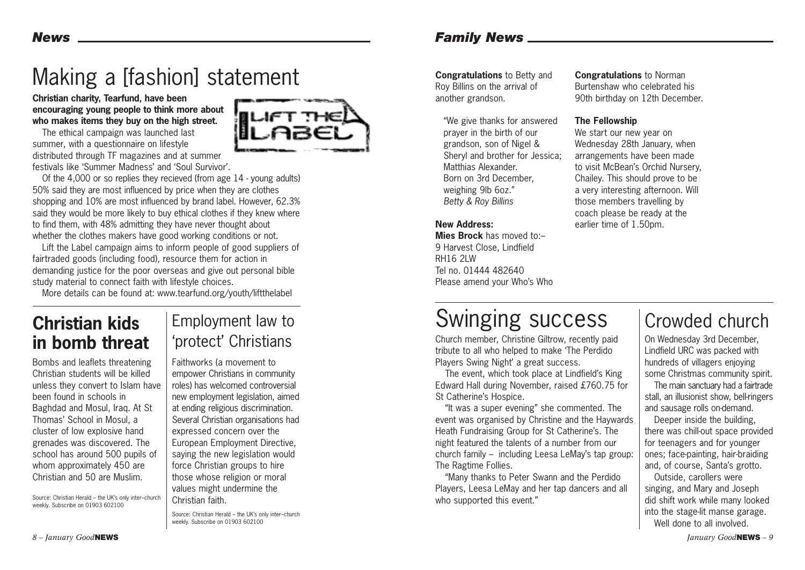## Making a [fashion] statement

**Christian charity, Tearfund, have been encouraging young people to think more about who makes items they buy on the high street.**

The ethical campaign was launched last summer, with a questionnaire on lifestyle distributed through TF magazines and at summer festivals like 'Summer Madness' and 'Soul Survivor'.

Of the 4,000 or so replies they recieved (from age 14 - young adults) 50% said they are most influenced by price when they are clothes shopping and 10% are most influenced by brand label. However, 62.3% said they would be more likely to buy ethical clothes if they knew where to find them, with 48% admitting they have never thought about whether the clothes makers have good working conditions or not.

Lift the Label campaign aims to inform people of good suppliers of fairtraded goods (including food), resource them for action in demanding justice for the poor overseas and give out personal bible study material to connect faith with lifestyle choices.

More details can be found at: www.tearfund.org/youth/liftthelabel

### **Christian kids in bomb threat**

Bombs and leaflets threatening Christian students will be killed unless they convert to Islam have been found in schools in Baghdad and Mosul, Iraq. At St Thomas' School in Mosul, a cluster of low explosive hand grenades was discovered. The school has around 500 pupils of whom approximately 450 are Christian and 50 are Muslim.

Source: Christian Herald – the UK's only inter–church weekly. Subscribe on 01903 602100

### Employment law to 'protect' Christians

Faithworks (a movement to empower Christians in community roles) has welcomed controversial new employment legislation, aimed at ending religious discrimination. Several Christian organisations had expressed concern over the European Employment Directive, saying the new legislation would force Christian groups to hire those whose religion or moral values might undermine the Christian faith.

Source: Christian Herald – the UK's only inter–church weekly. Subscribe on 01903 602100

#### *Family News*

**Congratulations** to Betty and Roy Billins on the arrival of another grandson.

"We give thanks for answered prayer in the birth of our grandson, son of Nigel & Sheryl and brother for Jessica; Matthias Alexander. Born on 3rd December, weighing 9lb 6oz." *Betty & Roy Billins*

#### **New Address:**

**Mies Brock** has moved to:– 9 Harvest Close, Lindfield RH16 2LW Tel no. 01444 482640 Please amend your Who's Who **Congratulations** to Norman Burtenshaw who celebrated his 90th birthday on 12th December.

#### **The Fellowship**

We start our new year on Wednesday 28th January, when arrangements have been made to visit McBean's Orchid Nursery, Chailey. This should prove to be a very interesting afternoon. Will those members travelling by coach please be ready at the earlier time of 1.50pm.

### Swinging success

Church member, Christine Giltrow, recently paid tribute to all who helped to make 'The Perdido Players Swing Night' a great success.

The event, which took place at Lindfield's King Edward Hall during November, raised £760.75 for St Catherine's Hospice.

"It was a super evening" she commented. The event was organised by Christine and the Haywards Heath Fundraising Group for St Catherine's. The night featured the talents of a number from our church family – including Leesa LeMay's tap group: The Ragtime Follies.

"Many thanks to Peter Swann and the Perdido Players, Leesa LeMay and her tap dancers and all who supported this event."

### Crowded church

On Wednesday 3rd December, Lindfield URC was packed with hundreds of villagers enjoying some Christmas community spirit.

The main sanctuary had a fairtrade stall, an illusionist show, bell-ringers and sausage rolls on-demand.

Deeper inside the building, there was chill-out space provided for teenagers and for younger ones; face-painting, hair-braiding and, of course, Santa's grotto.

Outside, carollers were singing, and Mary and Joseph did shift work while many looked into the stage-lit manse garage. Well done to all involved.

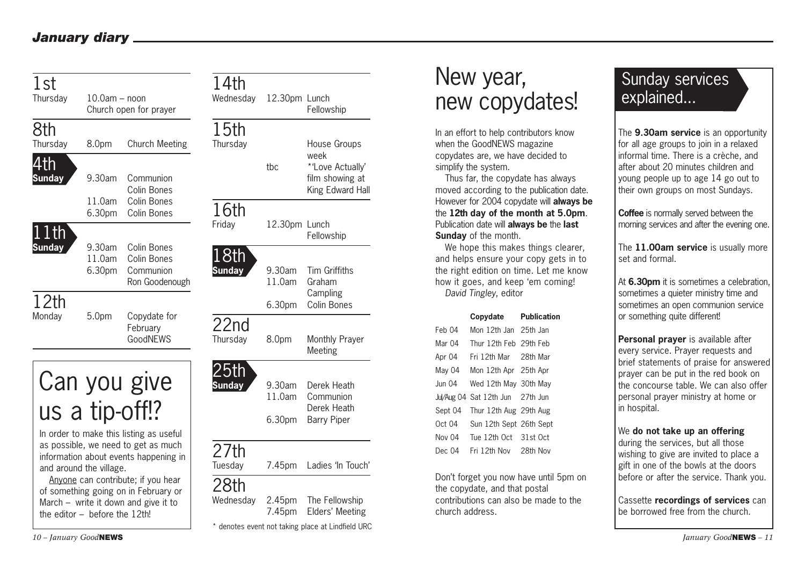#### *January diary*

| 1st<br>Thursday                         | $10.0$ am $-$ noon              | Church open for prayer                                                                                                  | 14th<br>Wednesday            | 12.30pm Lunch                          | Fellowship                                                                      | New year,<br>new copydates!                                                                                                                                                                                        | <b>Sunday services</b><br>explained                                                                                                                                                                                                         |
|-----------------------------------------|---------------------------------|-------------------------------------------------------------------------------------------------------------------------|------------------------------|----------------------------------------|---------------------------------------------------------------------------------|--------------------------------------------------------------------------------------------------------------------------------------------------------------------------------------------------------------------|---------------------------------------------------------------------------------------------------------------------------------------------------------------------------------------------------------------------------------------------|
| 8th<br>Thursday<br>4th<br><b>Sunday</b> | 8.0pm<br>9.30am                 | <b>Church Meeting</b><br>Communion<br>Colin Bones                                                                       | 15th<br>Thursday             | tbc                                    | House Groups<br>week<br>*'Love Actually'<br>film showing at<br>King Edward Hall | In an effort to help contributors know<br>when the GoodNEWS magazine<br>copydates are, we have decided to<br>simplify the system.<br>Thus far, the copydate has always<br>moved according to the publication date. | The 9.30am service is an opportunity<br>for all age groups to join in a relaxed<br>informal time. There is a crèche, and<br>after about 20 minutes children and<br>young people up to age 14 go out to<br>their own groups on most Sundays. |
| $ 11th\rangle$                          | 11.0am<br>6.30pm                | Colin Bones<br><b>Colin Bones</b>                                                                                       | 16th<br>Friday               | 12.30pm Lunch                          | Fellowship                                                                      | However for 2004 copydate will always be<br>the 12th day of the month at 5.0pm.<br>Publication date will always be the last<br>Sunday of the month.                                                                | Coffee is normally served between the<br>morning services and after the evening one.                                                                                                                                                        |
| <b>Sunday</b><br>12th                   | 9.30am<br>11.0am<br>6.30pm      | Colin Bones<br>Colin Bones<br>Communion<br>Ron Goodenough                                                               | 18th<br><b>Sunday</b>        | 9.30am<br>11.0am<br>6.30 <sub>pm</sub> | Tim Griffiths<br>Graham<br>Campling<br>Colin Bones                              | We hope this makes things clearer,<br>and helps ensure your copy gets in to<br>the right edition on time. Let me know<br>how it goes, and keep 'em coming!<br>David Tingley, editor                                | The 11.00am service is usually more<br>set and formal.<br>At 6.30pm it is sometimes a celebration,<br>sometimes a quieter ministry time and<br>sometimes an open communion service                                                          |
| Monday                                  | 5.0pm                           | Copydate for<br>February<br>GoodNEWS                                                                                    | 22n <sub>d</sub><br>Thursday | 8.0pm                                  | Monthly Prayer<br>Meeting                                                       | Copydate<br><b>Publication</b><br>Mon 12th Jan 25th Jan<br>Feb 04<br>Mar 04<br>Thur 12th Feb 29th Feb<br>Fri 12th Mar<br>28th Mar<br>Apr 04                                                                        | or something quite different!<br>Personal prayer is available after<br>every service. Prayer requests and                                                                                                                                   |
|                                         | us a tip-off!?                  | Can you give                                                                                                            | 25th<br><b>Sunday</b>        | 9.30am<br>11.0am<br>6.30 <sub>pm</sub> | Derek Heath<br>Communion<br>Derek Heath<br><b>Barry Piper</b>                   | May 04<br>Mon 12th Apr 25th Apr<br>Jun 04<br>Wed 12th May 30th May<br>Jul/Aug 04 Sat 12th Jun 27th Jun<br>Thur 12th Aug 29th Aug<br>Sept 04                                                                        | brief statements of praise for answered<br>prayer can be put in the red book on<br>the concourse table. We can also offer<br>personal prayer ministry at home or<br>in hospital.                                                            |
|                                         | and around the village.         | In order to make this listing as useful<br>as possible, we need to get as much<br>information about events happening in | 27th<br>Tuesday              |                                        | 7.45pm Ladies 'In Touch'                                                        | Oct 04<br>Sun 12th Sept 26th Sept<br>Nov 04<br>Tue 12th Oct 31st Oct<br>Fri 12th Nov<br>Dec 04<br>28th Nov                                                                                                         | We do not take up an offering<br>during the services, but all those<br>wishing to give are invited to place a<br>gift in one of the bowls at the doors                                                                                      |
|                                         | the editor $-$ before the 12th! | Anyone can contribute; if you hear<br>of something going on in February or<br>March $-$ write it down and give it to    | 28th<br>Wednesday            | 2.45 <sub>pm</sub><br>7.45pm           | The Fellowship<br>Elders' Meeting                                               | Don't forget you now have until 5pm on<br>the copydate, and that postal<br>contributions can also be made to the<br>church address.                                                                                | before or after the service. Thank you.<br>Cassette recordings of services can<br>be borrowed free from the church.                                                                                                                         |
|                                         | $10 - Ianuary$ Good NEWS        |                                                                                                                         |                              |                                        | * denotes event not taking place at Lindfield URC                               |                                                                                                                                                                                                                    | <i>Ianuary Good</i> <b>NEWS</b> $-11$                                                                                                                                                                                                       |

### New year, new copydates!

|         | Copydate                         | <b>Publication</b> |
|---------|----------------------------------|--------------------|
| Feb 04  | Mon 12th Jan 25th Jan            |                    |
| Mar 04  | Thur 12th Feb 29th Feb           |                    |
| Apr 04  | Fri 12th Mar — 28th Mar          |                    |
| May 04  | Mon 12th Apr 25th Apr            |                    |
| Jun 04  | Wed 12th May 30th May            |                    |
|         | Jul/Aug 04 Sat 12th Jun 27th Jun |                    |
| Sept 04 | Thur 12th Aug 29th Aug           |                    |
| Oct 04  | Sun 12th Sept 26th Sept          |                    |
| Nov 04  | Tue 12th Oct 31st Oct            |                    |
| Dec. 04 | Fri 12th Nov 28th Nov            |                    |

### Sunday services explained...

#### We **do not take up an offering**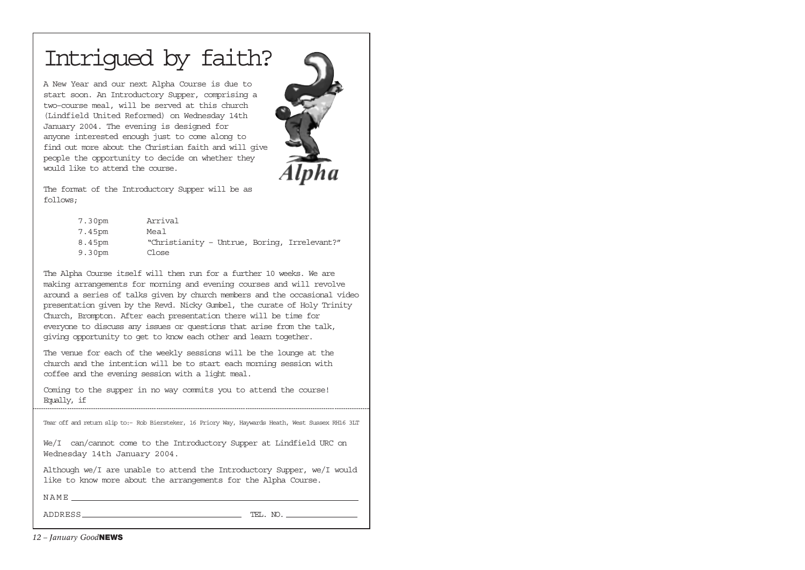### Intrigued by faith?

A New Year and our next Alpha Course is due to start soon. An Introductory Supper, comprising a two–course meal, will be served at this church (Lindfield United Reformed) on Wednesday 14th January 2004. The evening is designed for anyone interested enough just to come along to find out more about the Christian faith and will give people the opportunity to decide on whether they would like to attend the course.



The format of the Introductory Supper will be as follows;

| 7.30pm | Arrival                                      |
|--------|----------------------------------------------|
| 7.45pm | Meal                                         |
| 8.45pm | "Christianity - Untrue, Boring, Irrelevant?" |
| 9.30pm | Close                                        |

The Alpha Course itself will then run for a further 10 weeks. We are making arrangements for morning and evening courses and will revolve around a series of talks given by church members and the occasional video presentation given by the Revd. Nicky Gumbel, the curate of Holy Trinity Church, Brompton. After each presentation there will be time for everyone to discuss any issues or questions that arise from the talk, giving opportunity to get to know each other and learn together.

The venue for each of the weekly sessions will be the lounge at the church and the intention will be to start each morning session with coffee and the evening session with a light meal.

Coming to the supper in no way commits you to attend the course! Equally, if

| Tear off and return slip to:- Rob Biersteker, 16 Priory Way, Haywards Heath, West Sussex RH16 3LT                                        |
|------------------------------------------------------------------------------------------------------------------------------------------|
| We/I can/cannot come to the Introductory Supper at Lindfield URC on<br>Wednesday 14th January 2004.                                      |
| Although we/I are unable to attend the Introductory Supper, we/I would<br>like to know more about the arrangements for the Alpha Course. |
| NAME                                                                                                                                     |

ADDRESS TEL. NO.

*12 – January Good***NEWS**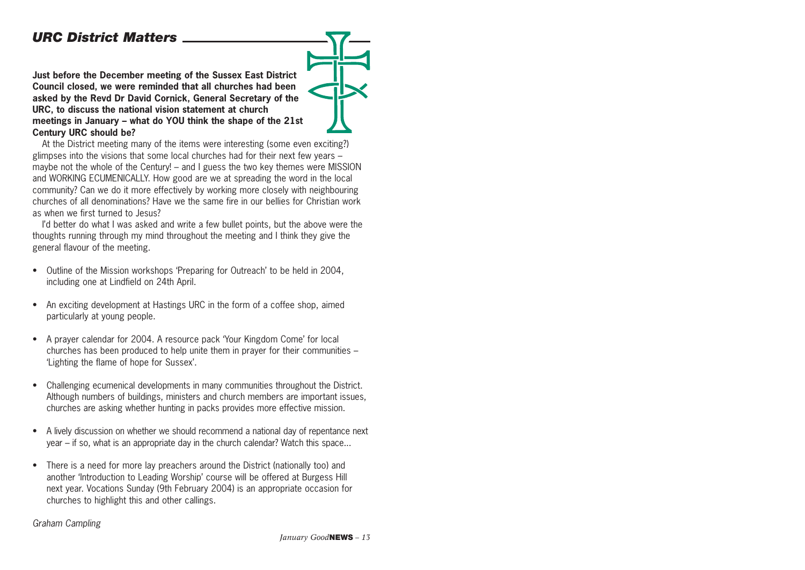#### *URC District Matters*

**Just before the December meeting of the Sussex East District Council closed, we were reminded that all churches had been asked by the Revd Dr David Cornick, General Secretary of the URC, to discuss the national vision statement at church meetings in January – what do YOU think the shape of the 21st Century URC should be?** 

At the District meeting many of the items were interesting (some even exciting?) glimpses into the visions that some local churches had for their next few years – maybe not the whole of the Century! – and I guess the two key themes were MISSION and WORKING ECUMENICALLY. How good are we at spreading the word in the local community? Can we do it more effectively by working more closely with neighbouring churches of all denominations? Have we the same fire in our bellies for Christian work as when we first turned to Jesus?

I'd better do what I was asked and write a few bullet points, but the above were the thoughts running through my mind throughout the meeting and I think they give the general flavour of the meeting.

- Outline of the Mission workshops 'Preparing for Outreach' to be held in 2004, including one at Lindfield on 24th April.
- An exciting development at Hastings URC in the form of a coffee shop, aimed particularly at young people.
- A prayer calendar for 2004. A resource pack 'Your Kingdom Come' for local churches has been produced to help unite them in prayer for their communities – 'Lighting the flame of hope for Sussex'.
- Challenging ecumenical developments in many communities throughout the District. Although numbers of buildings, ministers and church members are important issues, churches are asking whether hunting in packs provides more effective mission.
- A lively discussion on whether we should recommend a national day of repentance next year – if so, what is an appropriate day in the church calendar? Watch this space...
- There is a need for more lay preachers around the District (nationally too) and another 'Introduction to Leading Worship' course will be offered at Burgess Hill next year. Vocations Sunday (9th February 2004) is an appropriate occasion for churches to highlight this and other callings.

#### *Graham Campling*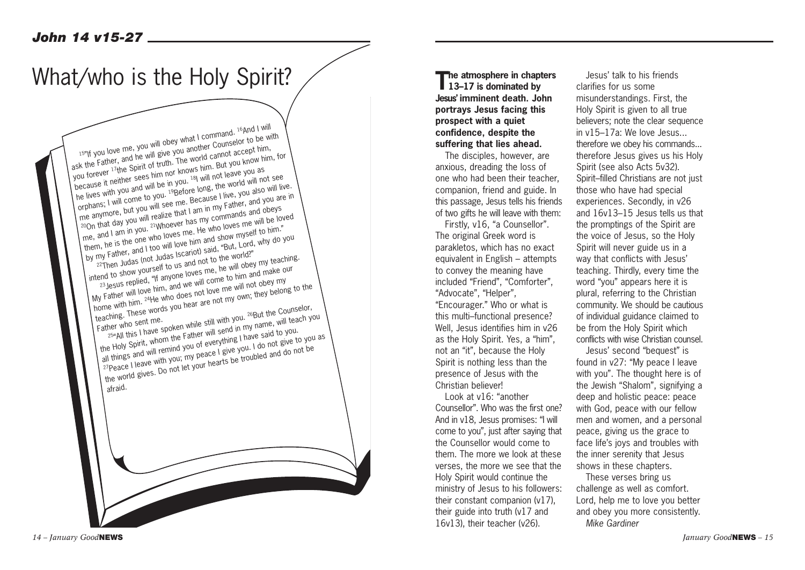### What/who is the Holy Spirit?

15"If you love me, you will obey what I command. 16And I will ask the Father, and he will give you another Counselor to be with you the Lattich, and the will be very you allocated bounded to be the spirit of truth. The world cannot accept him, because it neither sees him nor knows him. But you know him, for because it neither sees him nor knows him. But you know him, for he lives with you and will be in you. <sup>18</sup>I will not leave you as lite lives with you and will be in you. I will not leave you as the world will not see me anymore, but you. But you will see me. Because I live, you also will live.<br>The anymore, but you will see me. Because I live, you also will live.<br>200n that day you will realize that I am in my Father, and you are in<br>then live anymore, our you will see the, because I live, you also will live.<br>200n that day you will realize that I am in my Father, and you are in on that you you will come what I am in my called and obeys. them, he is the one who loves me. He who loves me will be loved by my Father, and I too will love him and show myself to him!"<br>22Then Judas (not Judas Iscariot) said, "But, Lord, why do you intend to show yourself to us and not to the world?" 23 Jesus replied, "If anyone loves me, he will obey my teaching. My Father will love him, and we will come to him and make our home with him. <sup>24</sup>He who does not love me will not obey my the wind the wind does not love the win not over they belong to the teaching. These words you hear are not my own; they belong to the teaching. These words you hear are not my own; they belong to the Counselor, Father who sent me.<br>
Father who sent me.<br>  $\frac{25^{\mu}$ All this I have spoken while still with you.  $\frac{25^{\mu}}{20^{\mu}}$  will teach you.<br>
the Holy Spirit, whom the Father will send in my name, will teach you.<br>
the Holy Spirit zuier with sent the.<br><sup>25</sup>"All this I have spoken while still with you. <sup>26</sup>But the Counselor, all things and will remind you of everything I have said to you. all ullings and will remind you or everyoming thave said to you.<br>27Peace I leave with you; my peace I give you. I do not give to you as I caus I leave with you, my peaus I give you. I go not give to you<br>the world gives. Do not let your hearts be troubled and do not be afraid.

**The atmosphere in chapters 13–17 is dominated by Jesus' imminent death. John portrays Jesus facing this prospect with a quiet confidence, despite the suffering that lies ahead.** 

The disciples, however, are anxious, dreading the loss of one who had been their teacher, companion, friend and guide. In this passage, Jesus tells his friends of two gifts he will leave with them:

Firstly, v16, "a Counsellor". The original Greek word is parakletos, which has no exact equivalent in English – attempts to convey the meaning have included "Friend", "Comforter", "Advocate", "Helper",

"Encourager." Who or what is this multi–functional presence? Well, Jesus identifies him in v26 as the Holy Spirit. Yes, a "him", not an "it", because the Holy Spirit is nothing less than the presence of Jesus with the Christian believer!

Look at v16: "another Counsellor". Who was the first one? And in v18, Jesus promises: "I will come to you", just after saying that the Counsellor would come to them. The more we look at these verses, the more we see that the Holy Spirit would continue the ministry of Jesus to his followers: their constant companion (v17), their guide into truth (v17 and 16v13), their teacher (v26).

Jesus' talk to his friends clarifies for us some misunderstandings. First, the Holy Spirit is given to all true believers; note the clear sequence in v15–17a: We love Jesus... therefore we obey his commands... therefore Jesus gives us his Holy Spirit (see also Acts 5v32). Spirit–filled Christians are not just those who have had special experiences. Secondly, in v26 and 16v13–15 Jesus tells us that the promptings of the Spirit are the voice of Jesus, so the Holy Spirit will never guide us in a way that conflicts with Jesus' teaching. Thirdly, every time the word "you" appears here it is plural, referring to the Christian community. We should be cautious of individual guidance claimed to be from the Holy Spirit which conflicts with wise Christian counsel.

Jesus' second "bequest" is found in v27: "My peace I leave with you". The thought here is of the Jewish "Shalom", signifying a deep and holistic peace: peace with God, peace with our fellow men and women, and a personal peace, giving us the grace to face life's joys and troubles with the inner serenity that Jesus shows in these chapters.

These verses bring us challenge as well as comfort. Lord, help me to love you better and obey you more consistently. *Mike Gardiner*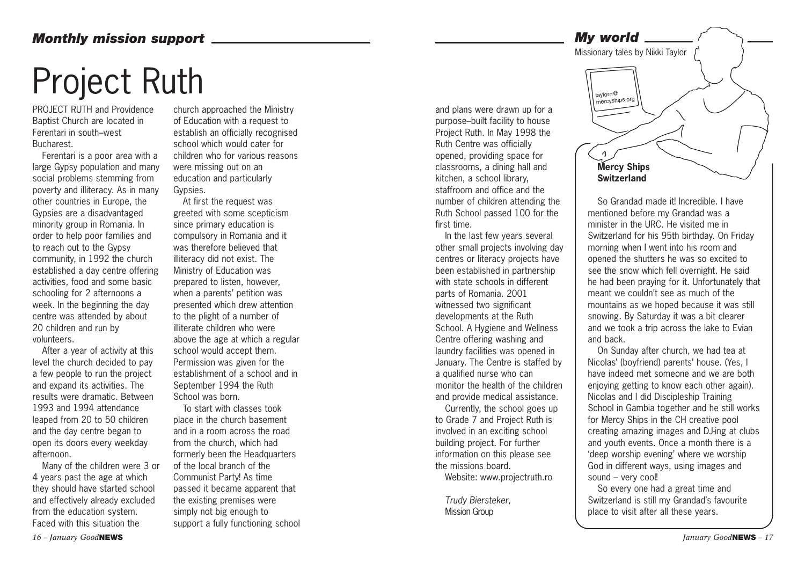#### *Monthly mission support*

# Project Ruth

PROJECT RUTH and Providence Baptist Church are located in Ferentari in south–west Bucharest.

Ferentari is a poor area with a large Gypsy population and many social problems stemming from poverty and illiteracy. As in many other countries in Europe, the Gypsies are a disadvantaged minority group in Romania. In order to help poor families and to reach out to the Gypsy community, in 1992 the church established a day centre offering activities, food and some basic schooling for 2 afternoons a week. In the beginning the day centre was attended by about 20 children and run by volunteers.

After a year of activity at this level the church decided to pay a few people to run the project and expand its activities. The results were dramatic. Between 1993 and 1994 attendance leaped from 20 to 50 children and the day centre began to open its doors every weekday afternoon.

Many of the children were 3 or 4 years past the age at which they should have started school and effectively already excluded from the education system. Faced with this situation the

church approached the Ministry of Education with a request to establish an officially recognised school which would cater for children who for various reasons were missing out on an education and particularly Gypsies.

At first the request was greeted with some scepticism since primary education is compulsory in Romania and it was therefore believed that illiteracy did not exist. The Ministry of Education was prepared to listen, however, when a parents' petition was presented which drew attention to the plight of a number of illiterate children who were above the age at which a regular school would accept them. Permission was given for the establishment of a school and in September 1994 the Ruth School was born.

To start with classes took place in the church basement and in a room across the road from the church, which had formerly been the Headquarters of the local branch of the Communist Party! As time passed it became apparent that the existing premises were simply not big enough to support a fully functioning school and plans were drawn up for a purpose–built facility to house Project Ruth. In May 1998 the Ruth Centre was officially opened, providing space for classrooms, a dining hall and kitchen, a school library, staffroom and office and the number of children attending the Ruth School passed 100 for the first time.

In the last few years several other small projects involving day centres or literacy projects have been established in partnership with state schools in different parts of Romania. 2001 witnessed two significant developments at the Ruth School. A Hygiene and Wellness Centre offering washing and laundry facilities was opened in January. The Centre is staffed by a qualified nurse who can monitor the health of the children and provide medical assistance.

Currently, the school goes up to Grade 7 and Project Ruth is involved in an exciting school building project. For further information on this please see the missions board.

Website: www.projectruth.ro

*Trudy Biersteker,*  Mission Group



So Grandad made it! Incredible. I have mentioned before my Grandad was a minister in the URC. He visited me in Switzerland for his 95th birthday. On Friday morning when I went into his room and opened the shutters he was so excited to see the snow which fell overnight. He said he had been praying for it. Unfortunately that meant we couldn't see as much of the mountains as we hoped because it was still snowing. By Saturday it was a bit clearer and we took a trip across the lake to Evian and back.

On Sunday after church, we had tea at Nicolas' (boyfriend) parents' house. (Yes, I have indeed met someone and we are both enjoying getting to know each other again). Nicolas and I did Discipleship Training School in Gambia together and he still works for Mercy Ships in the CH creative pool creating amazing images and DJ-ing at clubs and youth events. Once a month there is a 'deep worship evening' where we worship God in different ways, using images and sound – very cool!

So every one had a great time and Switzerland is still my Grandad's favourite place to visit after all these years.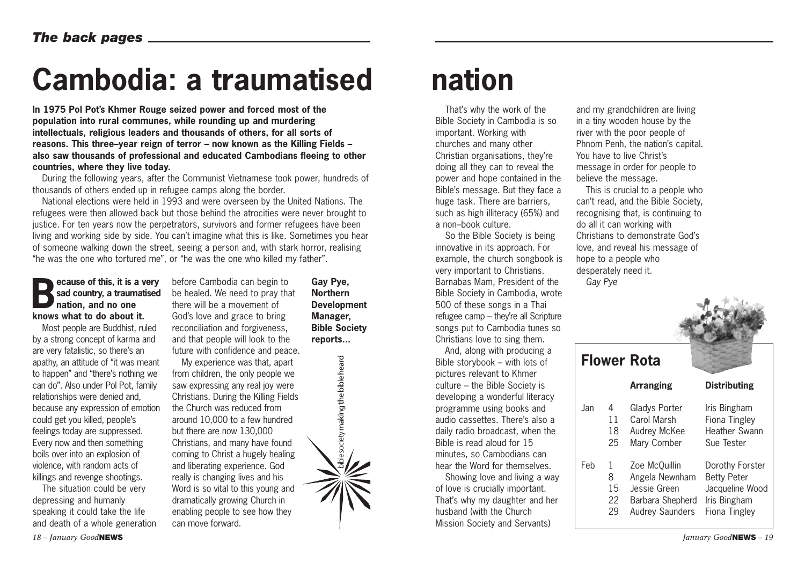## **Cambodia: a traumatised nation**

**In 1975 Pol Pot's Khmer Rouge seized power and forced most of the population into rural communes, while rounding up and murdering intellectuals, religious leaders and thousands of others, for all sorts of reasons. This three–year reign of terror – now known as the Killing Fields – also saw thousands of professional and educated Cambodians fleeing to other countries, where they live today.**

During the following years, after the Communist Vietnamese took power, hundreds of thousands of others ended up in refugee camps along the border.

National elections were held in 1993 and were overseen by the United Nations. The refugees were then allowed back but those behind the atrocities were never brought to justice. For ten years now the perpetrators, survivors and former refugees have been living and working side by side. You can't imagine what this is like. Sometimes you hear of someone walking down the street, seeing a person and, with stark horror, realising "he was the one who tortured me", or "he was the one who killed my father".

#### **Because of this, it is a very<br>sad country, a traumatised<br>nation, and no one sad country, a traumatised nation, and no one knows what to do about it.**

Most people are Buddhist, ruled by a strong concept of karma and are very fatalistic, so there's an apathy, an attitude of "it was meant to happen" and "there's nothing we can do". Also under Pol Pot, family relationships were denied and, because any expression of emotion could get you killed, people's feelings today are suppressed. Every now and then something boils over into an explosion of violence, with random acts of killings and revenge shootings.

The situation could be very depressing and humanly speaking it could take the life and death of a whole generation before Cambodia can begin to be healed. We need to pray that there will be a movement of God's love and grace to bring reconciliation and forgiveness, and that people will look to the future with confidence and peace.

My experience was that, apart from children, the only people we saw expressing any real joy were Christians. During the Killing Fields the Church was reduced from around 10,000 to a few hundred but there are now 130,000 Christians, and many have found coming to Christ a hugely healing and liberating experience. God really is changing lives and his Word is so vital to this young and dramatically growing Church in enabling people to see how they can move forward.

**Gay Pye, Northern Development Manager, Bible Society reports...**

bible society making the bible heard

That's why the work of the Bible Society in Cambodia is so important. Working with churches and many other Christian organisations, they're doing all they can to reveal the power and hope contained in the Bible's message. But they face a huge task. There are barriers, such as high illiteracy (65%) and a non–book culture.

So the Bible Society is being innovative in its approach. For example, the church songbook is very important to Christians. Barnabas Mam, President of the Bible Society in Cambodia, wrote 500 of these songs in a Thai refugee camp – they're all Scripture songs put to Cambodia tunes so Christians love to sing them.

And, along with producing a Bible storybook – with lots of pictures relevant to Khmer culture – the Bible Society is developing a wonderful literacy programme using books and audio cassettes. There's also a daily radio broadcast, when the Bible is read aloud for 15 minutes, so Cambodians can hear the Word for themselves.

Showing love and living a way of love is crucially important. That's why my daughter and her husband (with the Church Mission Society and Servants)

and my grandchildren are living in a tiny wooden house by the river with the poor people of Phnom Penh, the nation's capital. You have to live Christ's message in order for people to believe the message.

This is crucial to a people who can't read, and the Bible Society, recognising that, is continuing to do all it can working with Christians to demonstrate God's love, and reveal his message of hope to a people who desperately need it. *Gay Pye*

|     |                          | <b>Flower Rota</b>                                                                            |                                                                                           |
|-----|--------------------------|-----------------------------------------------------------------------------------------------|-------------------------------------------------------------------------------------------|
|     |                          | <b>Arranging</b>                                                                              | <b>Distributing</b>                                                                       |
| Jan | 4<br>11<br>18<br>25      | Gladys Porter<br>Carol Marsh<br>Audrey McKee<br>Mary Comber                                   | Iris Bingham<br>Fiona Tingley<br>Heather Swann<br>Sue Tester                              |
| Feb | 1<br>8<br>15<br>22<br>29 | Zoe McQuillin<br>Angela Newnham<br>Jessie Green<br>Barbara Shepherd<br><b>Audrey Saunders</b> | Dorothy Forster<br><b>Betty Peter</b><br>Jacqueline Wood<br>Iris Bingham<br>Fiona Tingley |

 $-4.36$